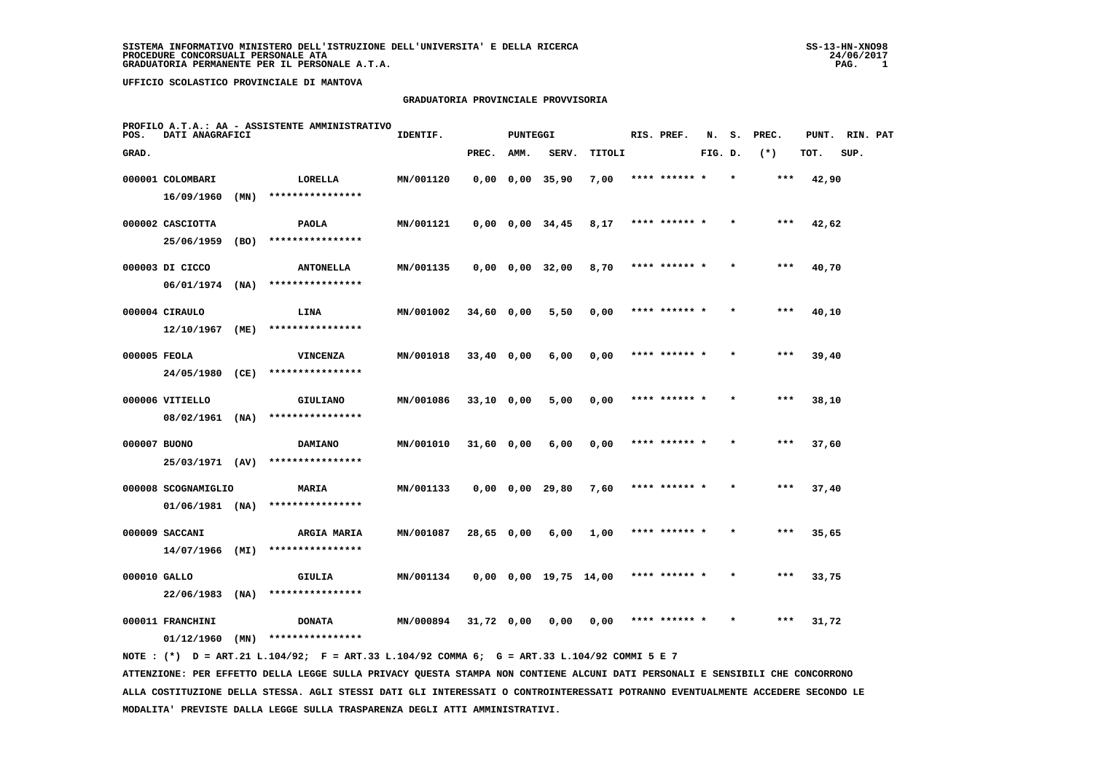#### **GRADUATORIA PROVINCIALE PROVVISORIA**

| POS.         | DATI ANAGRAFICI     |      | PROFILO A.T.A.: AA - ASSISTENTE AMMINISTRATIVO                                              | IDENTIF.  |              | <b>PUNTEGGI</b> |                               |        | RIS. PREF.    | N.      | s.      | PREC.  | PUNT. | RIN. PAT |  |
|--------------|---------------------|------|---------------------------------------------------------------------------------------------|-----------|--------------|-----------------|-------------------------------|--------|---------------|---------|---------|--------|-------|----------|--|
| GRAD.        |                     |      |                                                                                             |           | PREC.        | AMM.            | SERV.                         | TITOLI |               | FIG. D. |         | $(* )$ | TOT.  | SUP.     |  |
|              | 000001 COLOMBARI    |      | LORELLA                                                                                     | MN/001120 |              |                 | $0,00$ $0,00$ $35,90$         | 7,00   | **** ****** * |         | $\star$ | ***    | 42,90 |          |  |
|              | 16/09/1960          | (MN) | ****************                                                                            |           |              |                 |                               |        |               |         |         |        |       |          |  |
|              | 000002 CASCIOTTA    |      | <b>PAOLA</b>                                                                                | MN/001121 |              |                 | $0,00$ $0,00$ $34,45$         | 8,17   | **** ****** * |         |         | ***    | 42,62 |          |  |
|              | 25/06/1959          | (BO) | ****************                                                                            |           |              |                 |                               |        |               |         |         |        |       |          |  |
|              | 000003 DI CICCO     |      | <b>ANTONELLA</b>                                                                            | MN/001135 |              |                 | $0,00$ $0,00$ $32,00$         | 8,70   | **** ****** * |         |         | $***$  | 40,70 |          |  |
|              | $06/01/1974$ (NA)   |      | ****************                                                                            |           |              |                 |                               |        |               |         |         |        |       |          |  |
|              | 000004 CIRAULO      |      | LINA                                                                                        | MN/001002 | 34,60 0,00   |                 | 5,50                          | 0,00   | **** ******   |         |         | ***    | 40,10 |          |  |
|              | $12/10/1967$ (ME)   |      | ****************                                                                            |           |              |                 |                               |        |               |         |         |        |       |          |  |
| 000005 FEOLA |                     |      | VINCENZA                                                                                    | MN/001018 | $33,40$ 0,00 |                 | 6,00                          | 0,00   | **** ****** * |         |         | ***    | 39,40 |          |  |
|              | 24/05/1980 (CE)     |      | ****************                                                                            |           |              |                 |                               |        |               |         |         |        |       |          |  |
|              | 000006 VITIELLO     |      | GIULIANO                                                                                    | MN/001086 | $33,10$ 0,00 |                 | 5,00                          | 0,00   | **** ****** * |         |         | $***$  | 38,10 |          |  |
|              | 08/02/1961 (NA)     |      | ****************                                                                            |           |              |                 |                               |        |               |         |         |        |       |          |  |
| 000007 BUONO |                     |      | DAMIANO                                                                                     | MN/001010 | 31,60 0,00   |                 | 6,00                          | 0,00   | **** ****** * |         |         | $***$  | 37,60 |          |  |
|              | 25/03/1971 (AV)     |      | ****************                                                                            |           |              |                 |                               |        |               |         |         |        |       |          |  |
|              | 000008 SCOGNAMIGLIO |      | MARIA                                                                                       | MN/001133 |              |                 | $0,00$ $0,00$ 29,80           | 7,60   | **** ****** * |         |         | ***    | 37,40 |          |  |
|              | $01/06/1981$ (NA)   |      | ****************                                                                            |           |              |                 |                               |        |               |         |         |        |       |          |  |
|              | 000009 SACCANI      |      | <b>ARGIA MARIA</b>                                                                          | MN/001087 | 28,65 0,00   |                 | 6,00                          | 1,00   | **** ****** * |         |         | ***    | 35,65 |          |  |
|              | 14/07/1966          | (MI) | ****************                                                                            |           |              |                 |                               |        |               |         |         |        |       |          |  |
| 000010 GALLO |                     |      | GIULIA                                                                                      | MN/001134 |              |                 | $0,00$ $0,00$ $19,75$ $14,00$ |        | **** ****** * |         |         | ***    | 33,75 |          |  |
|              | $22/06/1983$ (NA)   |      | ****************                                                                            |           |              |                 |                               |        |               |         |         |        |       |          |  |
|              | 000011 FRANCHINI    |      | <b>DONATA</b>                                                                               | MN/000894 | 31,72 0,00   |                 | 0,00                          | 0,00   | **** ****** * |         |         | ***    | 31,72 |          |  |
|              | 01/12/1960          | (MN) | ****************                                                                            |           |              |                 |                               |        |               |         |         |        |       |          |  |
|              |                     |      | NOTE: (*) D = ART.21 L.104/92; F = ART.33 L.104/92 COMMA 6; G = ART.33 L.104/92 COMMI 5 E 7 |           |              |                 |                               |        |               |         |         |        |       |          |  |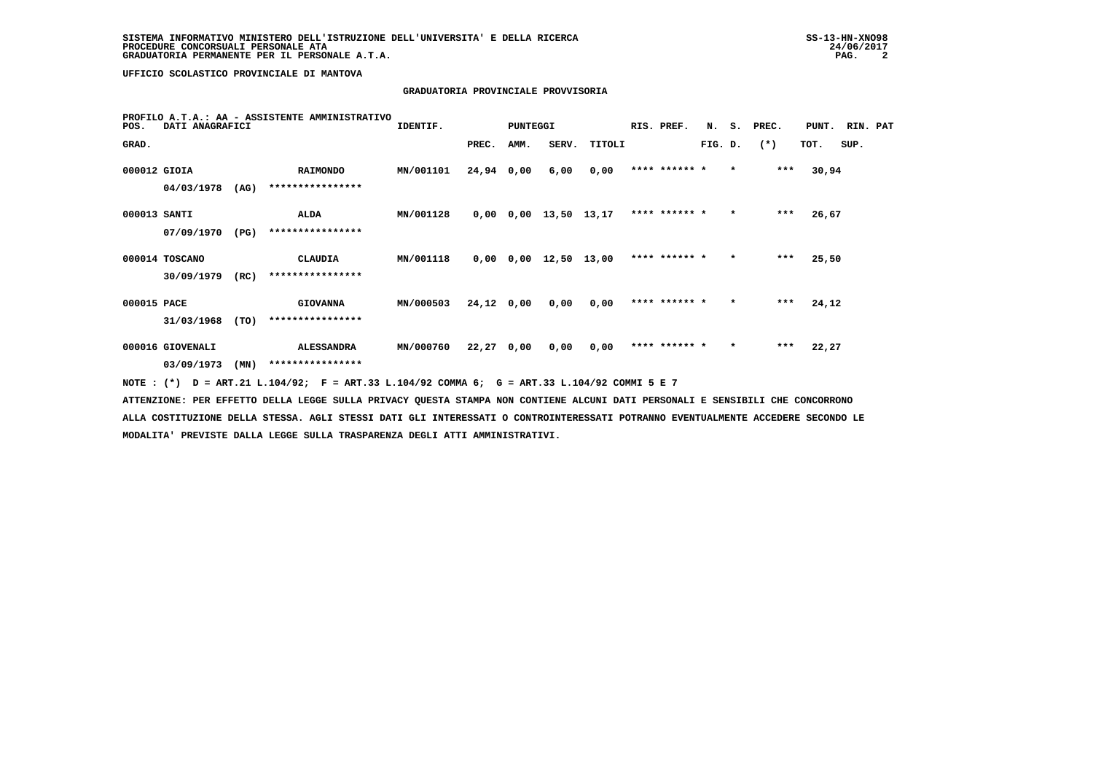# **GRADUATORIA PROVINCIALE PROVVISORIA**

| POS.         | DATI ANAGRAFICI  |      | PROFILO A.T.A.: AA - ASSISTENTE AMMINISTRATIVO                                              | IDENTIF.  |              | PUNTEGGI |                               |        | RIS. PREF.    |         |         | N. S. PREC. | PUNT. RIN. PAT |      |  |
|--------------|------------------|------|---------------------------------------------------------------------------------------------|-----------|--------------|----------|-------------------------------|--------|---------------|---------|---------|-------------|----------------|------|--|
| GRAD.        |                  |      |                                                                                             |           | PREC.        | AMM.     | SERV.                         | TITOLI |               | FIG. D. |         | $(*)$       | TOT.           | SUP. |  |
| 000012 GIOIA |                  |      | <b>RAIMONDO</b>                                                                             | MN/001101 | 24,94 0,00   |          | 6,00                          | 0,00   | **** ****** * |         | $\star$ | ***         | 30,94          |      |  |
|              | 04/03/1978       | (AG) | ****************                                                                            |           |              |          |                               |        |               |         |         |             |                |      |  |
| 000013 SANTI |                  |      | ALDA                                                                                        | MN/001128 |              |          | $0,00$ $0,00$ $13,50$ $13,17$ |        | **** ****** * |         | $\star$ | $***$       | 26,67          |      |  |
|              | 07/09/1970       | (PG) | ****************                                                                            |           |              |          |                               |        |               |         |         |             |                |      |  |
|              | 000014 TOSCANO   |      | CLAUDIA                                                                                     | MN/001118 |              |          | $0,00$ $0,00$ $12,50$ $13,00$ |        | **** ****** * |         | $\star$ | $***$       | 25,50          |      |  |
|              | 30/09/1979       | (RC) | ****************                                                                            |           |              |          |                               |        |               |         |         |             |                |      |  |
| 000015 PACE  |                  |      | <b>GIOVANNA</b>                                                                             | MN/000503 | $24,12$ 0,00 |          | 0,00                          | 0.00   | **** ****** * |         | $\star$ | $***$       | 24,12          |      |  |
|              | 31/03/1968       | (TO) | ****************                                                                            |           |              |          |                               |        |               |         |         |             |                |      |  |
|              | 000016 GIOVENALI |      | <b>ALESSANDRA</b>                                                                           | MN/000760 | $22,27$ 0,00 |          | 0,00                          | 0,00   | **** ****** * |         | $\star$ | $***$       | 22,27          |      |  |
|              | 03/09/1973       | (MN) | ****************                                                                            |           |              |          |                               |        |               |         |         |             |                |      |  |
|              |                  |      | NOTE: (*) D = ART.21 L.104/92; F = ART.33 L.104/92 COMMA 6; G = ART.33 L.104/92 COMMI 5 E 7 |           |              |          |                               |        |               |         |         |             |                |      |  |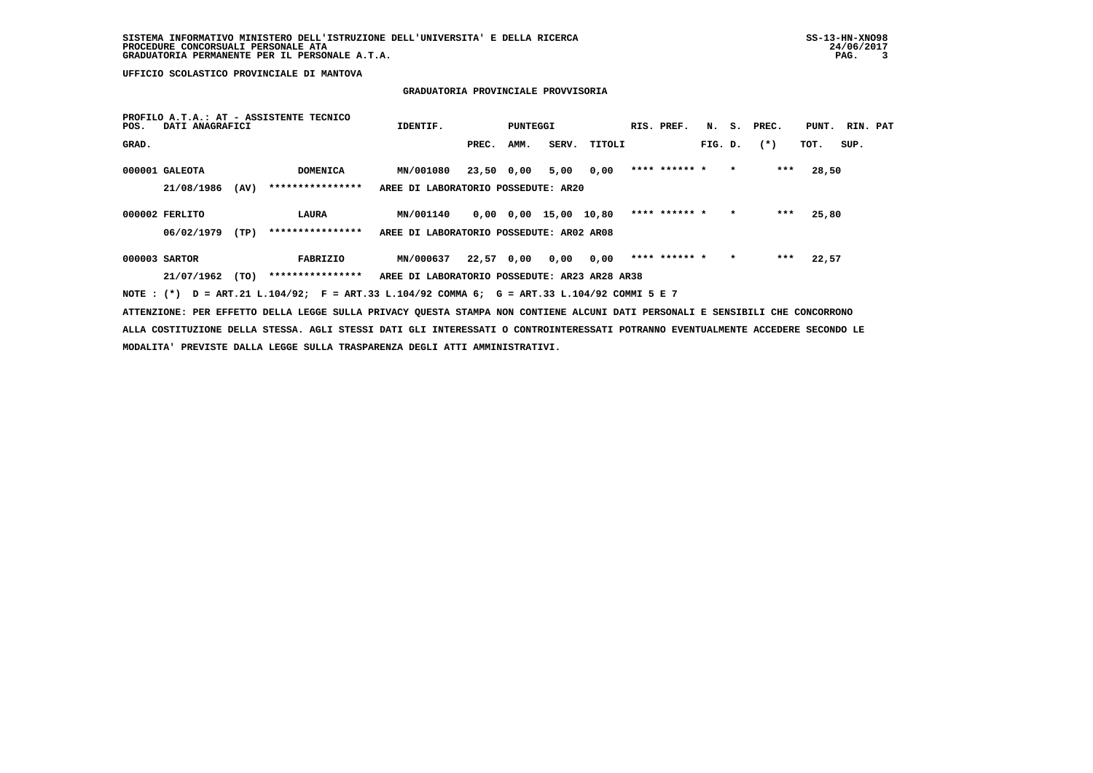# **GRADUATORIA PROVINCIALE PROVVISORIA**

| POS.  | DATI ANAGRAFICI |      | PROFILO A.T.A.: AT - ASSISTENTE TECNICO                                                     | IDENTIF.                                      |            | PUNTEGGI |                       |        | RIS. PREF.    | N.      |         | S. PREC. | PUNT. RIN. PAT |      |  |
|-------|-----------------|------|---------------------------------------------------------------------------------------------|-----------------------------------------------|------------|----------|-----------------------|--------|---------------|---------|---------|----------|----------------|------|--|
| GRAD. |                 |      |                                                                                             |                                               | PREC.      | AMM.     | SERV.                 | TITOLI |               | FIG. D. |         | $(*)$    | TOT.           | SUP. |  |
|       | 000001 GALEOTA  |      | <b>DOMENICA</b>                                                                             | MN/001080                                     | 23,50 0,00 |          | 5,00                  | 0.00   | **** ****** * |         | $\star$ | ***      | 28,50          |      |  |
|       | 21/08/1986      | (AV) | ****************                                                                            | AREE DI LABORATORIO POSSEDUTE: AR20           |            |          |                       |        |               |         |         |          |                |      |  |
|       | 000002 FERLITO  |      | LAURA                                                                                       | MN/001140                                     |            |          | 0,00 0,00 15,00 10,80 |        | **** ****** * |         | $\star$ | ***      | 25,80          |      |  |
|       | 06/02/1979      | (TP) | ****************                                                                            | AREE DI LABORATORIO POSSEDUTE: AR02 AR08      |            |          |                       |        |               |         |         |          |                |      |  |
|       | 000003 SARTOR   |      | FABRIZIO                                                                                    | MN/000637                                     | 22,57 0,00 |          | 0,00                  | 0,00   | **** ****** * |         | $\star$ | ***      | 22,57          |      |  |
|       | 21/07/1962      | (TO) | ****************                                                                            | AREE DI LABORATORIO POSSEDUTE: AR23 AR28 AR38 |            |          |                       |        |               |         |         |          |                |      |  |
|       |                 |      | NOTE: (*) D = ART.21 L.104/92; F = ART.33 L.104/92 COMMA 6; G = ART.33 L.104/92 COMMI 5 E 7 |                                               |            |          |                       |        |               |         |         |          |                |      |  |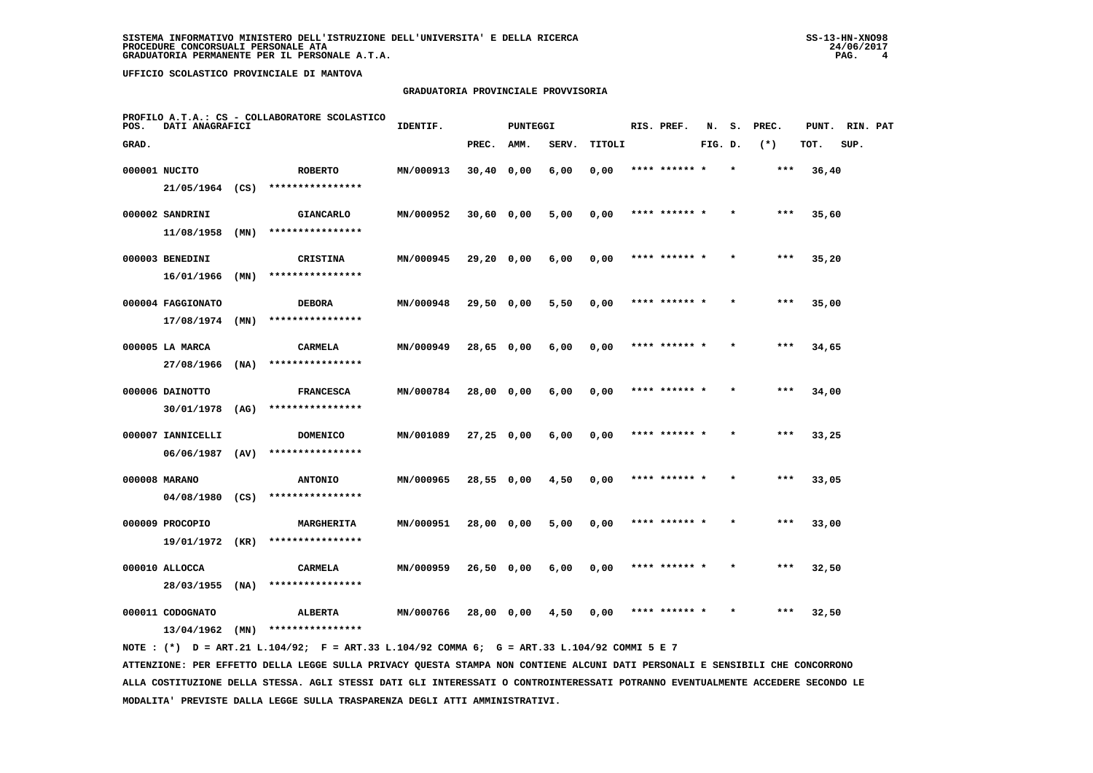## **GRADUATORIA PROVINCIALE PROVVISORIA**

| POS.  | DATI ANAGRAFICI   |      | PROFILO A.T.A.: CS - COLLABORATORE SCOLASTICO | IDENTIF.  |              | <b>PUNTEGGI</b> |       |        | RIS. PREF.    | N.      | s. | PREC. | PUNT. | RIN. PAT |  |
|-------|-------------------|------|-----------------------------------------------|-----------|--------------|-----------------|-------|--------|---------------|---------|----|-------|-------|----------|--|
| GRAD. |                   |      |                                               |           | PREC.        | AMM.            | SERV. | TITOLI |               | FIG. D. |    | $(*)$ | TOT.  | SUP.     |  |
|       | 000001 NUCITO     |      | <b>ROBERTO</b>                                | MN/000913 | $30,40$ 0,00 |                 | 6,00  | 0,00   | **** ****** * |         |    | ***   | 36,40 |          |  |
|       | 21/05/1964 (CS)   |      | ****************                              |           |              |                 |       |        |               |         |    |       |       |          |  |
|       | 000002 SANDRINI   |      | <b>GIANCARLO</b>                              | MN/000952 | $30,60$ 0,00 |                 | 5,00  | 0,00   | **** ****** * |         |    | ***   | 35,60 |          |  |
|       | 11/08/1958        | (MN) | ****************                              |           |              |                 |       |        |               |         |    |       |       |          |  |
|       | 000003 BENEDINI   |      | <b>CRISTINA</b>                               | MN/000945 | 29,20 0,00   |                 | 6,00  | 0,00   | **** ****** * |         |    | $***$ | 35,20 |          |  |
|       | 16/01/1966        | (MN) | ****************                              |           |              |                 |       |        |               |         |    |       |       |          |  |
|       | 000004 FAGGIONATO |      | <b>DEBORA</b>                                 | MN/000948 | $29,50$ 0,00 |                 | 5,50  | 0,00   | **** ****** * |         |    | $***$ | 35,00 |          |  |
|       | 17/08/1974        | (MN) | ****************                              |           |              |                 |       |        |               |         |    |       |       |          |  |
|       | 000005 LA MARCA   |      | <b>CARMELA</b>                                | MN/000949 | 28,65 0,00   |                 | 6,00  | 0,00   | **** ****** * |         |    | $***$ | 34,65 |          |  |
|       | 27/08/1966        | (MA) | ****************                              |           |              |                 |       |        |               |         |    |       |       |          |  |
|       | 000006 DAINOTTO   |      | <b>FRANCESCA</b>                              | MN/000784 | 28,00 0,00   |                 | 6,00  | 0,00   | **** ****** * |         |    | $***$ | 34,00 |          |  |
|       | $30/01/1978$ (AG) |      | ****************                              |           |              |                 |       |        |               |         |    |       |       |          |  |
|       | 000007 IANNICELLI |      | <b>DOMENICO</b>                               | MN/001089 | $27,25$ 0,00 |                 | 6,00  | 0,00   | **** ****** * |         |    | ***   | 33,25 |          |  |
|       | 06/06/1987        | (AV) | ****************                              |           |              |                 |       |        |               |         |    |       |       |          |  |
|       | 000008 MARANO     |      | <b>ANTONIO</b>                                | MN/000965 | 28,55 0,00   |                 | 4,50  | 0,00   | **** ******   |         |    | ***   | 33,05 |          |  |
|       | 04/08/1980        | (CS) | ****************                              |           |              |                 |       |        |               |         |    |       |       |          |  |
|       | 000009 PROCOPIO   |      | <b>MARGHERITA</b>                             | MN/000951 | 28,00 0,00   |                 | 5,00  | 0,00   | **** ****** * |         |    | $***$ | 33,00 |          |  |
|       | 19/01/1972        | (KR) | ****************                              |           |              |                 |       |        |               |         |    |       |       |          |  |
|       | 000010 ALLOCCA    |      | CARMELA                                       | MN/000959 | 26,50 0,00   |                 | 6,00  | 0,00   | **** ****** * |         |    | ***   | 32,50 |          |  |
|       | 28/03/1955        | (NA) | ****************                              |           |              |                 |       |        |               |         |    |       |       |          |  |
|       | 000011 CODOGNATO  |      | <b>ALBERTA</b>                                | MN/000766 | 28,00 0,00   |                 | 4,50  | 0,00   |               |         |    | ***   | 32,50 |          |  |
|       | 13/04/1962        | (MN) | ****************                              |           |              |                 |       |        |               |         |    |       |       |          |  |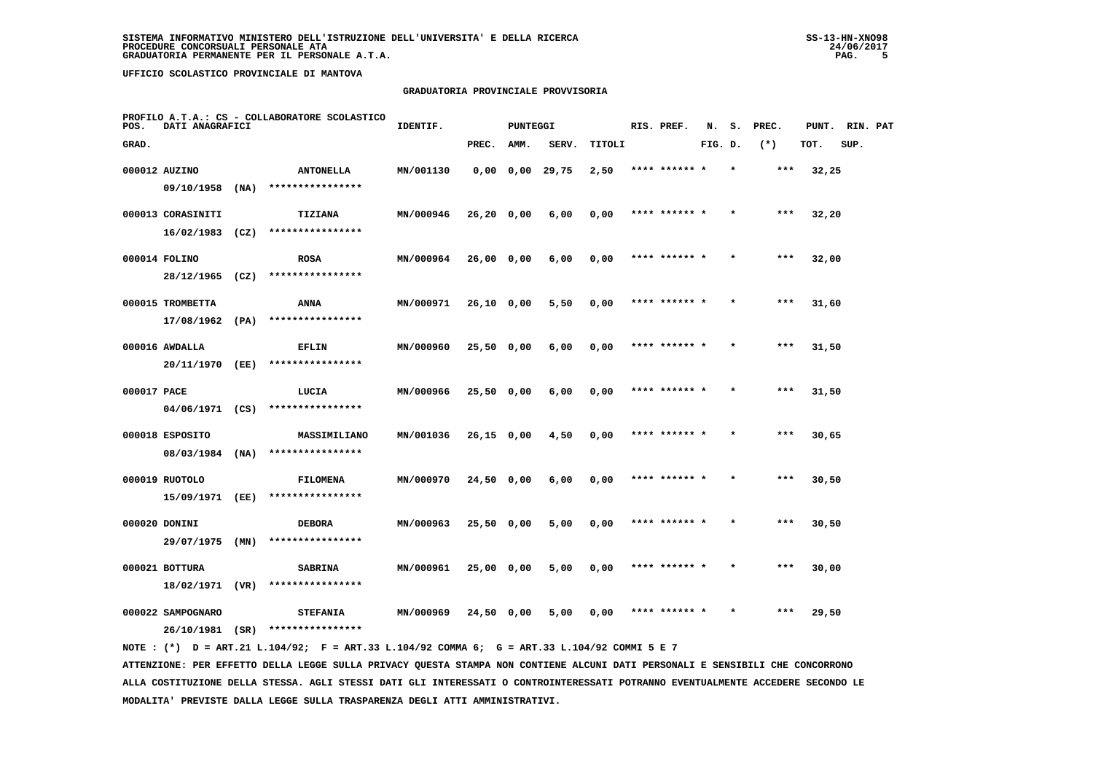#### **GRADUATORIA PROVINCIALE PROVVISORIA**

| POS.        | DATI ANAGRAFICI   |      | PROFILO A.T.A.: CS - COLLABORATORE SCOLASTICO | IDENTIF.  |              | <b>PUNTEGGI</b> |                       |        | RIS. PREF.    | N.      | s.      | PREC. | PUNT. | RIN. PAT |  |
|-------------|-------------------|------|-----------------------------------------------|-----------|--------------|-----------------|-----------------------|--------|---------------|---------|---------|-------|-------|----------|--|
| GRAD.       |                   |      |                                               |           | PREC.        | AMM.            | SERV.                 | TITOLI |               | FIG. D. |         | $(*)$ | TOT.  | SUP.     |  |
|             | 000012 AUZINO     |      | <b>ANTONELLA</b>                              | MN/001130 |              |                 | $0,00$ $0,00$ $29,75$ | 2,50   | **** ****** * |         | $\star$ | ***   | 32,25 |          |  |
|             | 09/10/1958        | (MA) | ****************                              |           |              |                 |                       |        |               |         |         |       |       |          |  |
|             | 000013 CORASINITI |      | <b>TIZIANA</b>                                | MN/000946 | $26,20$ 0,00 |                 | 6,00                  | 0,00   | **** ******   |         |         | ***   | 32,20 |          |  |
|             | 16/02/1983        | (CZ) | ****************                              |           |              |                 |                       |        |               |         |         |       |       |          |  |
|             | 000014 FOLINO     |      | <b>ROSA</b>                                   | MN/000964 | $26,00$ 0,00 |                 | 6,00                  | 0,00   | **** ****** * |         |         | $***$ | 32,00 |          |  |
|             | 28/12/1965 (CZ)   |      | ****************                              |           |              |                 |                       |        |               |         |         |       |       |          |  |
|             | 000015 TROMBETTA  |      | ANNA                                          | MN/000971 | 26,10 0,00   |                 | 5,50                  | 0,00   | **** ****** * |         |         | ***   | 31,60 |          |  |
|             | 17/08/1962        | (PA) | ****************                              |           |              |                 |                       |        |               |         |         |       |       |          |  |
|             | 000016 AWDALLA    |      | <b>EFLIN</b>                                  | MN/000960 | $25,50$ 0,00 |                 | 6,00                  | 0,00   | **** ****** * |         |         | ***   | 31,50 |          |  |
|             | 20/11/1970 (EE)   |      | ****************                              |           |              |                 |                       |        |               |         |         |       |       |          |  |
| 000017 PACE |                   |      | LUCIA                                         | MN/000966 | 25,50 0,00   |                 | 6,00                  | 0,00   | **** ****** * |         |         | $***$ | 31,50 |          |  |
|             | $04/06/1971$ (CS) |      | ****************                              |           |              |                 |                       |        |               |         |         |       |       |          |  |
|             | 000018 ESPOSITO   |      | MASSIMILIANO                                  | MN/001036 | $26,15$ 0,00 |                 | 4,50                  | 0,00   | **** ****** * |         |         | ***   | 30,65 |          |  |
|             | 08/03/1984 (NA)   |      | ****************                              |           |              |                 |                       |        |               |         |         |       |       |          |  |
|             | 000019 RUOTOLO    |      | <b>FILOMENA</b>                               | MN/000970 | $24,50$ 0,00 |                 | 6,00                  | 0,00   |               |         |         |       | 30,50 |          |  |
|             | 15/09/1971 (EE)   |      | ****************                              |           |              |                 |                       |        |               |         |         |       |       |          |  |
|             | 000020 DONINI     |      | <b>DEBORA</b>                                 | MN/000963 | 25,50 0,00   |                 | 5,00                  | 0,00   | **** ****** * |         |         | $***$ | 30,50 |          |  |
|             | 29/07/1975        | (MN) | ****************                              |           |              |                 |                       |        |               |         |         |       |       |          |  |
|             | 000021 BOTTURA    |      | <b>SABRINA</b>                                | MN/000961 | 25,00 0,00   |                 | 5,00                  | 0,00   | **** ****** * |         |         | ***   | 30,00 |          |  |
|             | 18/02/1971 (VR)   |      | ****************                              |           |              |                 |                       |        |               |         |         |       |       |          |  |
|             | 000022 SAMPOGNARO |      | <b>STEFANIA</b>                               | MN/000969 | 24,50 0,00   |                 | 5,00                  | 0,00   | **** ****** * |         |         | ***   | 29,50 |          |  |
|             | 26/10/1981 (SR)   |      | ****************                              |           |              |                 |                       |        |               |         |         |       |       |          |  |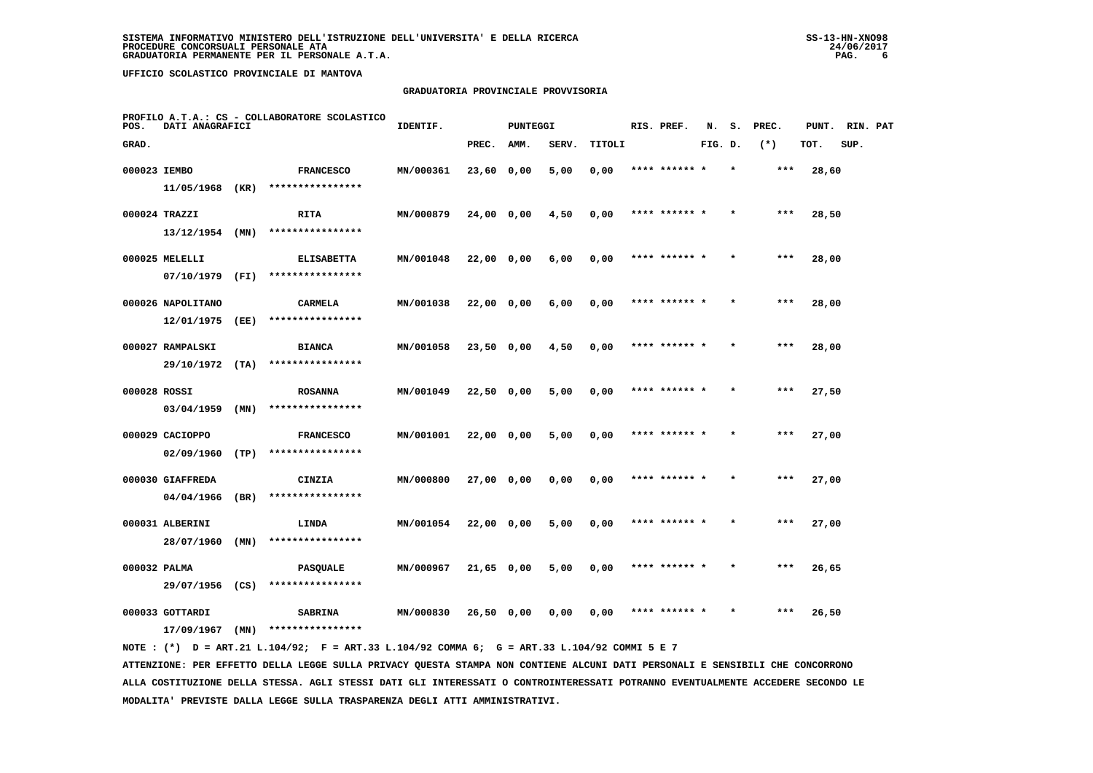## **GRADUATORIA PROVINCIALE PROVVISORIA**

| POS.         | DATI ANAGRAFICI   |      | PROFILO A.T.A.: CS - COLLABORATORE SCOLASTICO | IDENTIF.  |              | <b>PUNTEGGI</b> |       |        | RIS. PREF.    | N.      | s.      | PREC. | PUNT. | RIN. PAT |  |
|--------------|-------------------|------|-----------------------------------------------|-----------|--------------|-----------------|-------|--------|---------------|---------|---------|-------|-------|----------|--|
| GRAD.        |                   |      |                                               |           | PREC.        | AMM.            | SERV. | TITOLI |               | FIG. D. |         | $(*)$ | TOT.  | SUP.     |  |
| 000023 IEMBO |                   |      | <b>FRANCESCO</b>                              | MN/000361 | 23,60 0,00   |                 | 5,00  | 0,00   | **** ****** * |         |         | $***$ | 28,60 |          |  |
|              | 11/05/1968 (KR)   |      | ****************                              |           |              |                 |       |        |               |         |         |       |       |          |  |
|              | 000024 TRAZZI     |      | RITA                                          | MN/000879 | 24,00 0,00   |                 | 4,50  | 0,00   | **** ****** * |         |         | ***   | 28,50 |          |  |
|              | $13/12/1954$ (MN) |      | ****************                              |           |              |                 |       |        |               |         |         |       |       |          |  |
|              | 000025 MELELLI    |      | <b>ELISABETTA</b>                             | MN/001048 | 22,00 0,00   |                 | 6,00  | 0,00   | **** ****** * |         |         | $***$ | 28,00 |          |  |
|              | 07/10/1979        | (FI) | ****************                              |           |              |                 |       |        |               |         |         |       |       |          |  |
|              | 000026 NAPOLITANO |      | <b>CARMELA</b>                                | MN/001038 | 22,00 0,00   |                 | 6,00  | 0,00   | **** ****** * |         |         | ***   | 28,00 |          |  |
|              | 12/01/1975        | (EE) | ****************                              |           |              |                 |       |        |               |         |         |       |       |          |  |
|              | 000027 RAMPALSKI  |      | <b>BIANCA</b>                                 | MN/001058 | 23,50 0,00   |                 | 4,50  | 0,00   | **** ****** * |         |         | $***$ | 28,00 |          |  |
|              | 29/10/1972        | (TA) | ****************                              |           |              |                 |       |        |               |         |         |       |       |          |  |
| 000028 ROSSI |                   |      | <b>ROSANNA</b>                                | MN/001049 | 22,50 0,00   |                 | 5,00  | 0,00   | **** ****** * |         |         | $***$ | 27,50 |          |  |
|              | 03/04/1959        | (MN) | ****************                              |           |              |                 |       |        |               |         |         |       |       |          |  |
|              | 000029 CACIOPPO   |      | <b>FRANCESCO</b>                              | MN/001001 | 22,00 0,00   |                 | 5,00  | 0,00   | **** ****** * |         |         | ***   | 27,00 |          |  |
|              | 02/09/1960        | (TP) | ****************                              |           |              |                 |       |        |               |         |         |       |       |          |  |
|              | 000030 GIAFFREDA  |      | CINZIA                                        | MN/000800 | 27,00 0,00   |                 | 0,00  | 0,00   |               |         |         |       | 27,00 |          |  |
|              | 04/04/1966        | (BR) | ****************                              |           |              |                 |       |        |               |         |         |       |       |          |  |
|              | 000031 ALBERINI   |      | LINDA                                         | MN/001054 | $22,00$ 0,00 |                 | 5,00  | 0,00   | **** ****** * |         |         | ***   | 27,00 |          |  |
|              | 28/07/1960        | (MN) | ****************                              |           |              |                 |       |        |               |         |         |       |       |          |  |
| 000032 PALMA |                   |      | <b>PASQUALE</b>                               | MN/000967 | 21,65 0,00   |                 | 5,00  | 0,00   | **** ****** * |         | $\star$ | $***$ | 26,65 |          |  |
|              | 29/07/1956        | (CS) | ****************                              |           |              |                 |       |        |               |         |         |       |       |          |  |
|              | 000033 GOTTARDI   |      | <b>SABRINA</b>                                | MN/000830 | 26,50 0,00   |                 | 0,00  | 0,00   | **** ****** * |         |         | ***   | 26,50 |          |  |
|              | 17/09/1967        | (MN) | ****************                              |           |              |                 |       |        |               |         |         |       |       |          |  |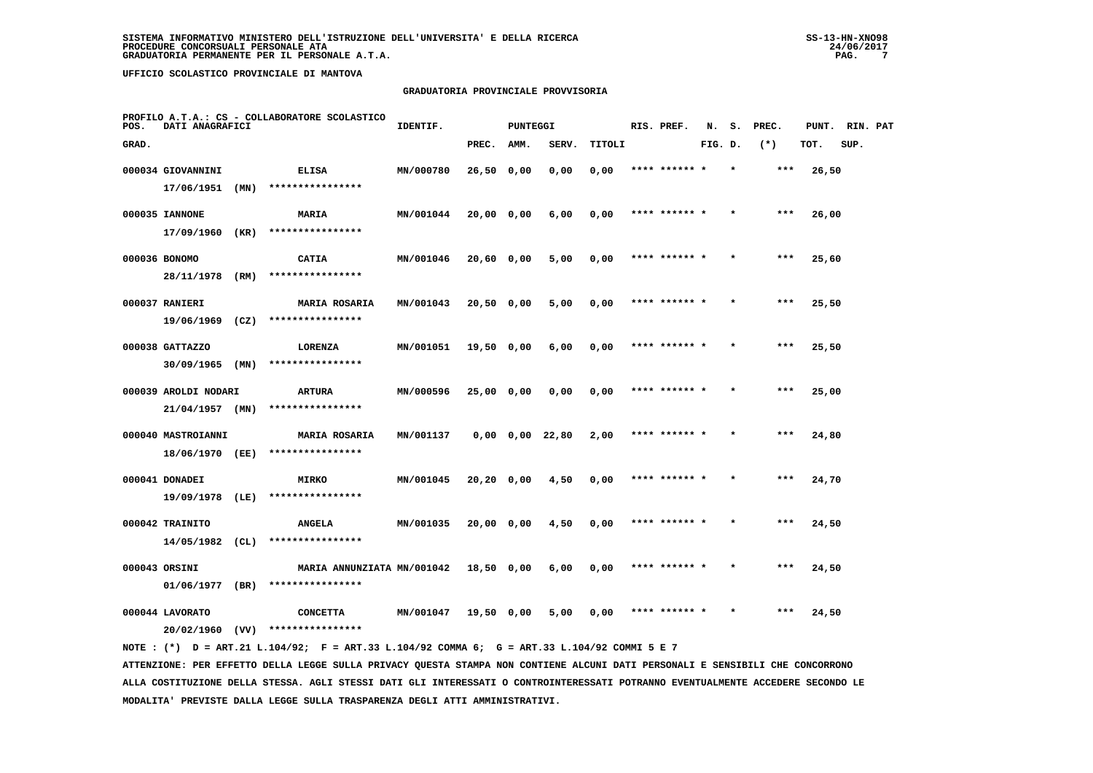## **GRADUATORIA PROVINCIALE PROVVISORIA**

| POS.  | DATI ANAGRAFICI      |      | PROFILO A.T.A.: CS - COLLABORATORE SCOLASTICO                                               | IDENTIF.  |            | <b>PUNTEGGI</b> |                       |        | RIS. PREF.    | N.      | s. | PREC. | PUNT. | RIN. PAT |  |
|-------|----------------------|------|---------------------------------------------------------------------------------------------|-----------|------------|-----------------|-----------------------|--------|---------------|---------|----|-------|-------|----------|--|
| GRAD. |                      |      |                                                                                             |           | PREC.      | AMM.            | SERV.                 | TITOLI |               | FIG. D. |    | $(*)$ | TOT.  | SUP.     |  |
|       | 000034 GIOVANNINI    |      | <b>ELISA</b>                                                                                | MN/000780 | 26,50 0,00 |                 | 0,00                  | 0,00   | **** ******   |         |    | $***$ | 26,50 |          |  |
|       | $17/06/1951$ (MN)    |      | ****************                                                                            |           |            |                 |                       |        |               |         |    |       |       |          |  |
|       | 000035 IANNONE       |      | <b>MARIA</b>                                                                                | MN/001044 | 20,00 0,00 |                 | 6,00                  | 0,00   | **** ****** * |         |    | $***$ | 26,00 |          |  |
|       | 17/09/1960 (KR)      |      | ****************                                                                            |           |            |                 |                       |        |               |         |    |       |       |          |  |
|       | 000036 BONOMO        |      | <b>CATIA</b>                                                                                | MN/001046 | 20,60 0,00 |                 | 5,00                  | 0,00   | **** ****** * |         |    | $***$ | 25,60 |          |  |
|       | 28/11/1978 (RM)      |      | ****************                                                                            |           |            |                 |                       |        |               |         |    |       |       |          |  |
|       | 000037 RANIERI       |      | <b>MARIA ROSARIA</b>                                                                        | MN/001043 | 20,50 0,00 |                 | 5,00                  | 0,00   |               |         |    |       | 25,50 |          |  |
|       | $19/06/1969$ (CZ)    |      | ****************                                                                            |           |            |                 |                       |        |               |         |    |       |       |          |  |
|       | 000038 GATTAZZO      |      | LORENZA                                                                                     | MN/001051 | 19,50 0,00 |                 | 6,00                  | 0,00   | **** ****** * |         |    | $***$ | 25,50 |          |  |
|       | $30/09/1965$ (MN)    |      | ****************                                                                            |           |            |                 |                       |        |               |         |    |       |       |          |  |
|       | 000039 AROLDI NODARI |      | <b>ARTURA</b>                                                                               | MN/000596 | 25,00 0,00 |                 | 0,00                  | 0,00   | **** ****** * |         |    | $***$ | 25,00 |          |  |
|       | 21/04/1957 (MN)      |      | ****************                                                                            |           |            |                 |                       |        |               |         |    |       |       |          |  |
|       | 000040 MASTROIANNI   |      | <b>MARIA ROSARIA</b>                                                                        | MN/001137 |            |                 | $0,00$ $0,00$ $22,80$ | 2,00   | **** ****** * |         |    | ***   | 24,80 |          |  |
|       | 18/06/1970 (EE)      |      | ****************                                                                            |           |            |                 |                       |        |               |         |    |       |       |          |  |
|       | 000041 DONADEI       |      | <b>MIRKO</b>                                                                                | MN/001045 | 20,20 0,00 |                 | 4,50                  | 0,00   | **** ****** * |         |    | ***   | 24,70 |          |  |
|       | 19/09/1978           | (LE) | ****************                                                                            |           |            |                 |                       |        |               |         |    |       |       |          |  |
|       | 000042 TRAINITO      |      | <b>ANGELA</b>                                                                               | MN/001035 | 20,00 0,00 |                 | 4,50                  | 0,00   | **** ****** * |         |    | $***$ | 24,50 |          |  |
|       | 14/05/1982           | (CL) | ****************                                                                            |           |            |                 |                       |        |               |         |    |       |       |          |  |
|       | 000043 ORSINI        |      | MARIA ANNUNZIATA MN/001042                                                                  |           | 18,50 0,00 |                 | 6,00                  | 0,00   | **** ****** * |         |    | ***   | 24,50 |          |  |
|       | 01/06/1977 (BR)      |      | ****************                                                                            |           |            |                 |                       |        |               |         |    |       |       |          |  |
|       | 000044 LAVORATO      |      | <b>CONCETTA</b>                                                                             | MN/001047 | 19,50 0,00 |                 | 5,00                  | 0,00   | **** ****** * |         |    | ***   | 24,50 |          |  |
|       |                      |      | $20/02/1960$ (VV) *****************                                                         |           |            |                 |                       |        |               |         |    |       |       |          |  |
|       |                      |      | NOTE: (*) D = ART.21 L.104/92; F = ART.33 L.104/92 COMMA 6; G = ART.33 L.104/92 COMMI 5 E 7 |           |            |                 |                       |        |               |         |    |       |       |          |  |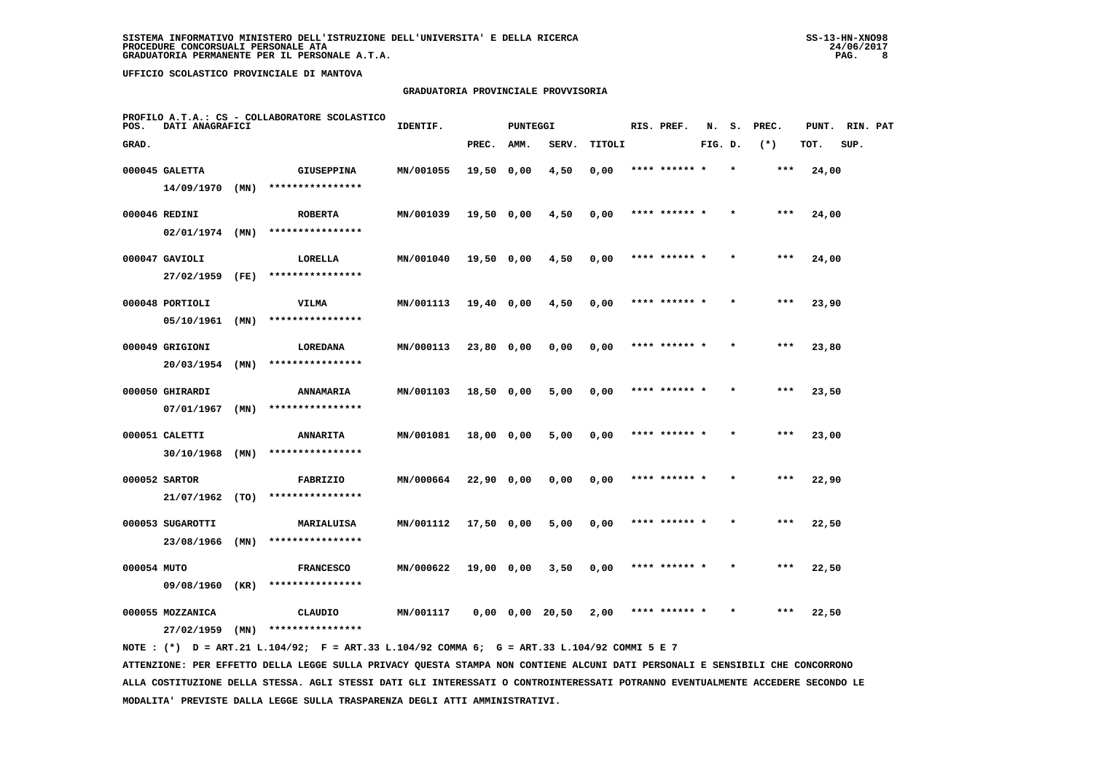## **GRADUATORIA PROVINCIALE PROVVISORIA**

| POS.        | DATI ANAGRAFICI                |      | PROFILO A.T.A.: CS - COLLABORATORE SCOLASTICO | IDENTIF.  |              | <b>PUNTEGGI</b> |                       |        | RIS. PREF.    | N.      | s. | PREC. | PUNT. | RIN. PAT |  |
|-------------|--------------------------------|------|-----------------------------------------------|-----------|--------------|-----------------|-----------------------|--------|---------------|---------|----|-------|-------|----------|--|
| GRAD.       |                                |      |                                               |           | PREC.        | AMM.            | SERV.                 | TITOLI |               | FIG. D. |    | $(*)$ | TOT.  | SUP.     |  |
|             | 000045 GALETTA                 |      | <b>GIUSEPPINA</b>                             | MN/001055 | 19,50 0,00   |                 | 4,50                  | 0,00   | **** ****** * |         |    | ***   | 24,00 |          |  |
|             | 14/09/1970                     | (MN) | ****************                              |           |              |                 |                       |        |               |         |    |       |       |          |  |
|             | 000046 REDINI                  |      | <b>ROBERTA</b>                                | MN/001039 | $19,50$ 0,00 |                 | 4,50                  | 0,00   | **** ****** * |         |    | ***   | 24,00 |          |  |
|             | $02/01/1974$ (MN)              |      | ****************                              |           |              |                 |                       |        |               |         |    |       |       |          |  |
|             | 000047 GAVIOLI                 |      | LORELLA                                       | MN/001040 | 19,50 0,00   |                 | 4,50                  | 0,00   | **** ****** * |         |    | $***$ | 24,00 |          |  |
|             | 27/02/1959                     | (FE) | ****************                              |           |              |                 |                       |        |               |         |    |       |       |          |  |
|             | 000048 PORTIOLI                |      | VILMA                                         | MN/001113 | 19,40 0,00   |                 | 4,50                  | 0,00   | **** ****** * |         |    | ***   | 23,90 |          |  |
|             | 05/10/1961                     | (MN) | ****************                              |           |              |                 |                       |        |               |         |    |       |       |          |  |
|             | 000049 GRIGIONI                |      | <b>LOREDANA</b>                               | MN/000113 | $23,80$ 0,00 |                 | 0,00                  | 0,00   | **** ****** * |         |    | $***$ | 23,80 |          |  |
|             | 20/03/1954                     | (MN) | ****************                              |           |              |                 |                       |        |               |         |    |       |       |          |  |
|             | 000050 GHIRARDI                |      | ANNAMARIA                                     | MN/001103 | 18,50 0,00   |                 | 5,00                  | 0,00   | **** ****** * |         |    | $***$ | 23,50 |          |  |
|             | 07/01/1967                     | (MN) | ****************                              |           |              |                 |                       |        |               |         |    |       |       |          |  |
|             | 000051 CALETTI                 |      | <b>ANNARITA</b><br>****************           | MN/001081 | 18,00 0,00   |                 | 5,00                  | 0,00   | **** ****** * |         |    | $***$ | 23,00 |          |  |
|             | 30/10/1968                     | (MN) |                                               |           |              |                 |                       |        |               |         |    |       |       |          |  |
|             | 000052 SARTOR<br>21/07/1962    | (TO) | FABRIZIO<br>****************                  | MN/000664 | $22,90$ 0,00 |                 | 0,00                  | 0,00   | **** ****** * |         |    | ***   | 22,90 |          |  |
|             |                                |      |                                               |           |              |                 |                       |        |               |         |    |       |       |          |  |
|             | 000053 SUGAROTTI<br>23/08/1966 | (MN) | MARIALUISA<br>****************                | MN/001112 | 17,50 0,00   |                 | 5,00                  | 0,00   | **** ****** * |         |    | $***$ | 22,50 |          |  |
|             |                                |      |                                               |           |              |                 |                       |        |               |         |    |       |       |          |  |
| 000054 MUTO | 09/08/1960                     | (KR) | <b>FRANCESCO</b><br>****************          | MN/000622 | 19,00 0,00   |                 | 3,50                  | 0,00   | **** ****** * |         |    | ***   | 22,50 |          |  |
|             |                                |      |                                               |           |              |                 |                       |        |               |         |    |       |       |          |  |
|             | 000055 MOZZANICA               |      | CLAUDIO<br>****************                   | MN/001117 |              |                 | $0,00$ $0,00$ $20,50$ | 2,00   |               |         |    | ***   | 22,50 |          |  |
|             | 27/02/1959                     | (MN) |                                               |           |              |                 |                       |        |               |         |    |       |       |          |  |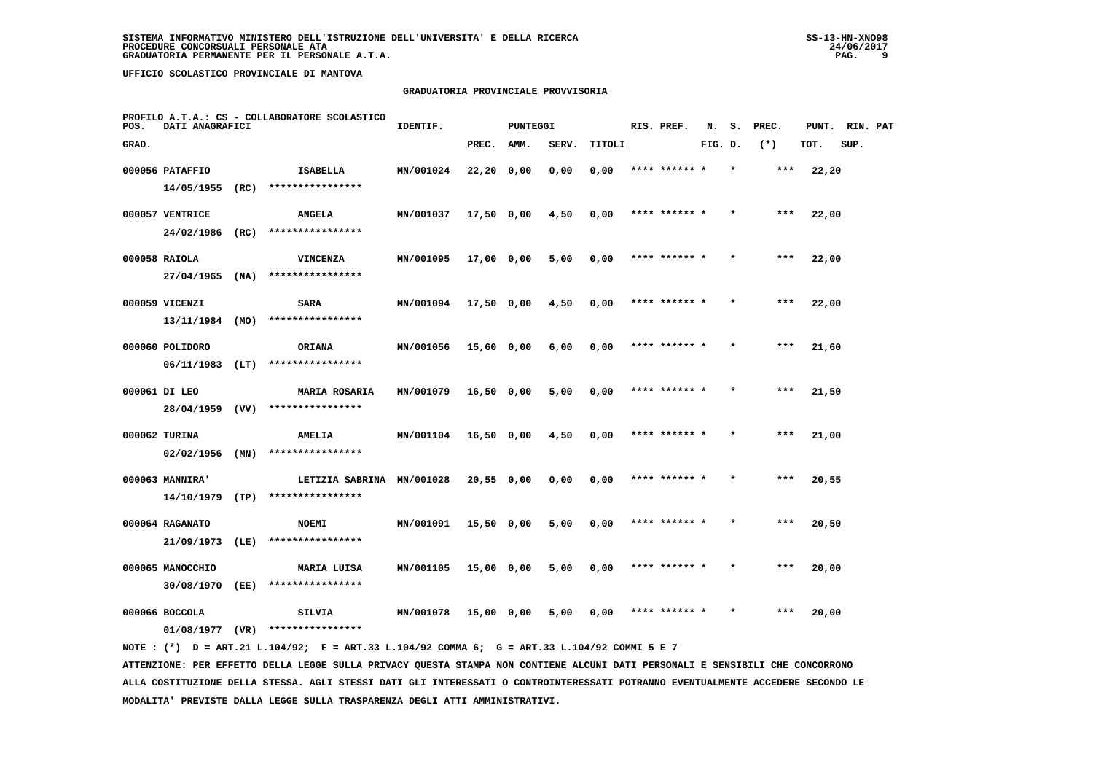## **GRADUATORIA PROVINCIALE PROVVISORIA**

| POS.  | DATI ANAGRAFICI                      |      | PROFILO A.T.A.: CS - COLLABORATORE SCOLASTICO | IDENTIF.  |              | <b>PUNTEGGI</b> |       |        | RIS. PREF.    | N.      | s.      | PREC. | PUNT. | RIN. PAT |  |
|-------|--------------------------------------|------|-----------------------------------------------|-----------|--------------|-----------------|-------|--------|---------------|---------|---------|-------|-------|----------|--|
| GRAD. |                                      |      |                                               |           | PREC.        | AMM.            | SERV. | TITOLI |               | FIG. D. |         | $(*)$ | TOT.  | SUP.     |  |
|       | 000056 PATAFFIO                      |      | ISABELLA                                      | MN/001024 | 22,20 0,00   |                 | 0,00  | 0,00   | **** ****** * |         |         | ***   | 22,20 |          |  |
|       | 14/05/1955                           | (RC) | ****************                              |           |              |                 |       |        |               |         |         |       |       |          |  |
|       | 000057 VENTRICE                      |      | <b>ANGELA</b>                                 | MN/001037 | 17,50 0,00   |                 | 4,50  | 0,00   | **** ******   |         |         | ***   | 22,00 |          |  |
|       | 24/02/1986 (RC)                      |      | ****************                              |           |              |                 |       |        |               |         |         |       |       |          |  |
|       | 000058 RAIOLA                        |      | VINCENZA                                      | MN/001095 | 17,00 0,00   |                 | 5,00  | 0,00   | **** ****** * |         |         | $***$ | 22,00 |          |  |
|       | 27/04/1965                           | (NA) | ****************                              |           |              |                 |       |        |               |         |         |       |       |          |  |
|       | 000059 VICENZI                       |      | SARA                                          | MN/001094 | 17,50 0,00   |                 | 4,50  | 0,00   | **** ****** * |         | $\star$ | $***$ | 22,00 |          |  |
|       | 13/11/1984                           | (MO) | ****************                              |           |              |                 |       |        |               |         |         |       |       |          |  |
|       | 000060 POLIDORO                      |      | ORIANA                                        | MN/001056 | $15,60$ 0,00 |                 | 6,00  | 0,00   | **** ****** * |         |         | $***$ | 21,60 |          |  |
|       | $06/11/1983$ (LT)                    |      | ****************                              |           |              |                 |       |        |               |         |         |       |       |          |  |
|       | 000061 DI LEO                        |      | <b>MARIA ROSARIA</b>                          | MN/001079 | 16,50 0,00   |                 | 5,00  | 0,00   | **** ****** * |         |         | ***   | 21,50 |          |  |
|       | 28/04/1959 (VV)                      |      | ****************                              |           |              |                 |       |        |               |         |         |       |       |          |  |
|       | 000062 TURINA<br>$02/02/1956$ (MN)   |      | <b>AMELIA</b><br>****************             | MN/001104 | 16,50 0,00   |                 | 4,50  | 0,00   | **** ****** * |         |         | $***$ | 21,00 |          |  |
|       |                                      |      |                                               |           |              |                 |       |        |               |         |         |       |       |          |  |
|       | 000063 MANNIRA'<br>$14/10/1979$ (TP) |      | LETIZIA SABRINA MN/001028<br>**************** |           | 20,55 0,00   |                 | 0,00  | 0,00   | **** ****** * |         |         | ***   | 20,55 |          |  |
|       |                                      |      |                                               |           |              |                 |       |        |               |         |         |       |       |          |  |
|       | 000064 RAGANATO<br>21/09/1973 (LE)   |      | <b>NOEMI</b><br>****************              | MN/001091 | $15,50$ 0,00 |                 | 5,00  | 0,00   | **** ******   |         |         | ***   | 20,50 |          |  |
|       |                                      |      |                                               |           |              |                 |       |        | **** ****** * |         |         | ***   |       |          |  |
|       | 000065 MANOCCHIO<br>30/08/1970       | (EE) | MARIA LUISA<br>****************               | MN/001105 | 15,00 0,00   |                 | 5,00  | 0,00   |               |         |         |       | 20,00 |          |  |
|       | 000066 BOCCOLA                       |      | SILVIA                                        | MN/001078 | 15,00 0,00   |                 | 5,00  | 0,00   | **** ****** * |         | $\star$ | ***   | 20,00 |          |  |
|       | 01/08/1977                           | (VR) | ****************                              |           |              |                 |       |        |               |         |         |       |       |          |  |
|       |                                      |      |                                               |           |              |                 |       |        |               |         |         |       |       |          |  |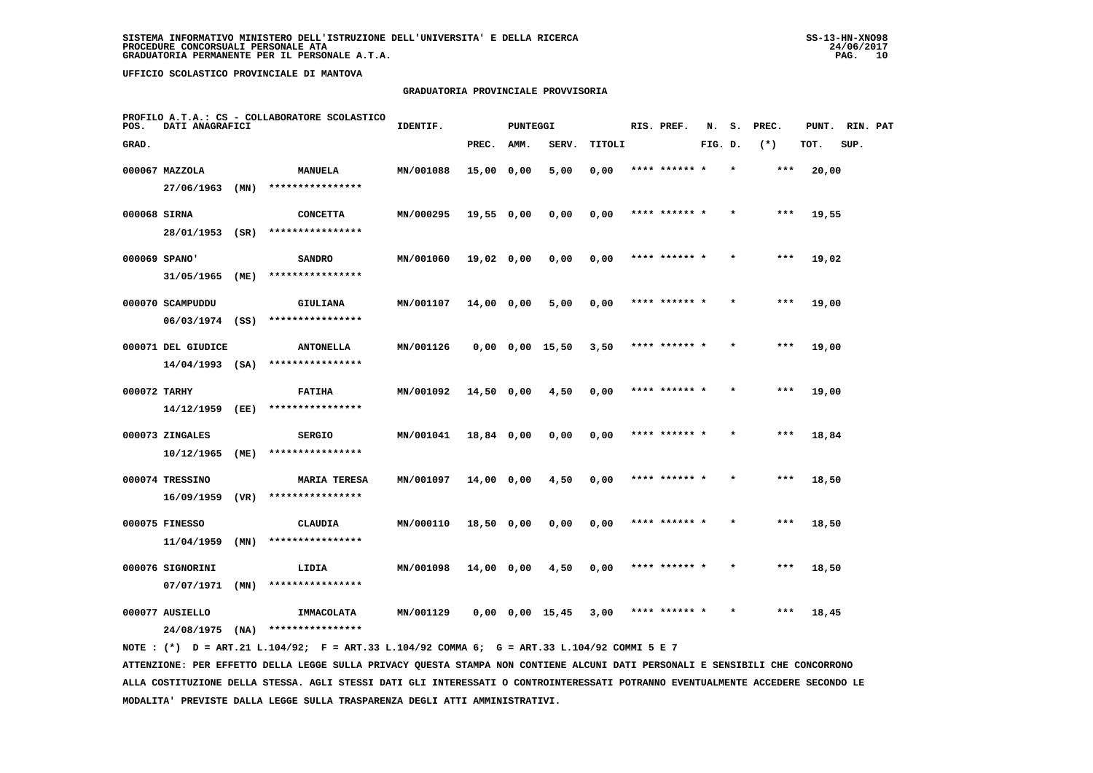## **GRADUATORIA PROVINCIALE PROVVISORIA**

| POS.         | DATI ANAGRAFICI    |      | PROFILO A.T.A.: CS - COLLABORATORE SCOLASTICO | IDENTIF.  |              | <b>PUNTEGGI</b> |                       |        | RIS. PREF.    | N.      | s. | PREC. | PUNT. | RIN. PAT |  |
|--------------|--------------------|------|-----------------------------------------------|-----------|--------------|-----------------|-----------------------|--------|---------------|---------|----|-------|-------|----------|--|
| GRAD.        |                    |      |                                               |           | PREC.        | AMM.            | SERV.                 | TITOLI |               | FIG. D. |    | $(*)$ | TOT.  | SUP.     |  |
|              | 000067 MAZZOLA     |      | <b>MANUELA</b>                                | MN/001088 | 15,00 0,00   |                 | 5,00                  | 0,00   | **** ****** * |         |    | ***   | 20,00 |          |  |
|              | 27/06/1963         | (MN) | ****************                              |           |              |                 |                       |        |               |         |    |       |       |          |  |
| 000068 SIRNA |                    |      | <b>CONCETTA</b>                               | MN/000295 | 19,55 0,00   |                 | 0,00                  | 0,00   | **** ****** * |         |    | $***$ | 19,55 |          |  |
|              | 28/01/1953 (SR)    |      | ****************                              |           |              |                 |                       |        |               |         |    |       |       |          |  |
|              | 000069 SPANO'      |      | <b>SANDRO</b>                                 | MN/001060 | 19,02 0,00   |                 | 0,00                  | 0,00   | **** ****** * |         |    | $***$ | 19,02 |          |  |
|              | 31/05/1965         | (ME) | ****************                              |           |              |                 |                       |        |               |         |    |       |       |          |  |
|              | 000070 SCAMPUDDU   |      | GIULIANA                                      | MN/001107 | 14,00 0,00   |                 | 5,00                  | 0,00   | **** ****** * |         |    | ***   | 19,00 |          |  |
|              | $06/03/1974$ (SS)  |      | ****************                              |           |              |                 |                       |        |               |         |    |       |       |          |  |
|              | 000071 DEL GIUDICE |      | <b>ANTONELLA</b>                              | MN/001126 |              |                 | $0,00$ $0,00$ $15,50$ | 3,50   | **** ****** * |         |    | $***$ | 19,00 |          |  |
|              | $14/04/1993$ (SA)  |      | ****************                              |           |              |                 |                       |        |               |         |    |       |       |          |  |
| 000072 TARHY |                    |      | <b>FATIHA</b>                                 | MN/001092 | 14,50 0,00   |                 | 4,50                  | 0,00   | **** ****** * |         |    | ***   | 19,00 |          |  |
|              | 14/12/1959         | (EE) | ****************                              |           |              |                 |                       |        |               |         |    |       |       |          |  |
|              | 000073 ZINGALES    |      | <b>SERGIO</b>                                 | MN/001041 | 18,84 0,00   |                 | 0,00                  | 0,00   | **** ****** * |         |    | $***$ | 18,84 |          |  |
|              | 10/12/1965         | (ME) | ****************                              |           |              |                 |                       |        |               |         |    |       |       |          |  |
|              | 000074 TRESSINO    |      | <b>MARIA TERESA</b>                           | MN/001097 | 14,00 0,00   |                 | 4,50                  | 0,00   | **** ******   |         |    | ***   | 18,50 |          |  |
|              | 16/09/1959         | (VR) | ****************                              |           |              |                 |                       |        |               |         |    |       |       |          |  |
|              | 000075 FINESSO     |      | <b>CLAUDIA</b>                                | MN/000110 | $18,50$ 0,00 |                 | 0,00                  | 0,00   | **** ****** * |         |    | $***$ | 18,50 |          |  |
|              | 11/04/1959         | (MN) | ****************                              |           |              |                 |                       |        |               |         |    |       |       |          |  |
|              | 000076 SIGNORINI   |      | LIDIA                                         | MN/001098 | 14,00 0,00   |                 | 4,50                  | 0,00   | **** ****** * |         |    | ***   | 18,50 |          |  |
|              | 07/07/1971         | (MN) | ****************                              |           |              |                 |                       |        |               |         |    |       |       |          |  |
|              | 000077 AUSIELLO    |      | IMMACOLATA                                    | MN/001129 |              |                 | $0,00$ $0,00$ $15,45$ | 3,00   | **** ****** * |         |    | ***   | 18,45 |          |  |
|              | 24/08/1975         | (NA) | ****************                              |           |              |                 |                       |        |               |         |    |       |       |          |  |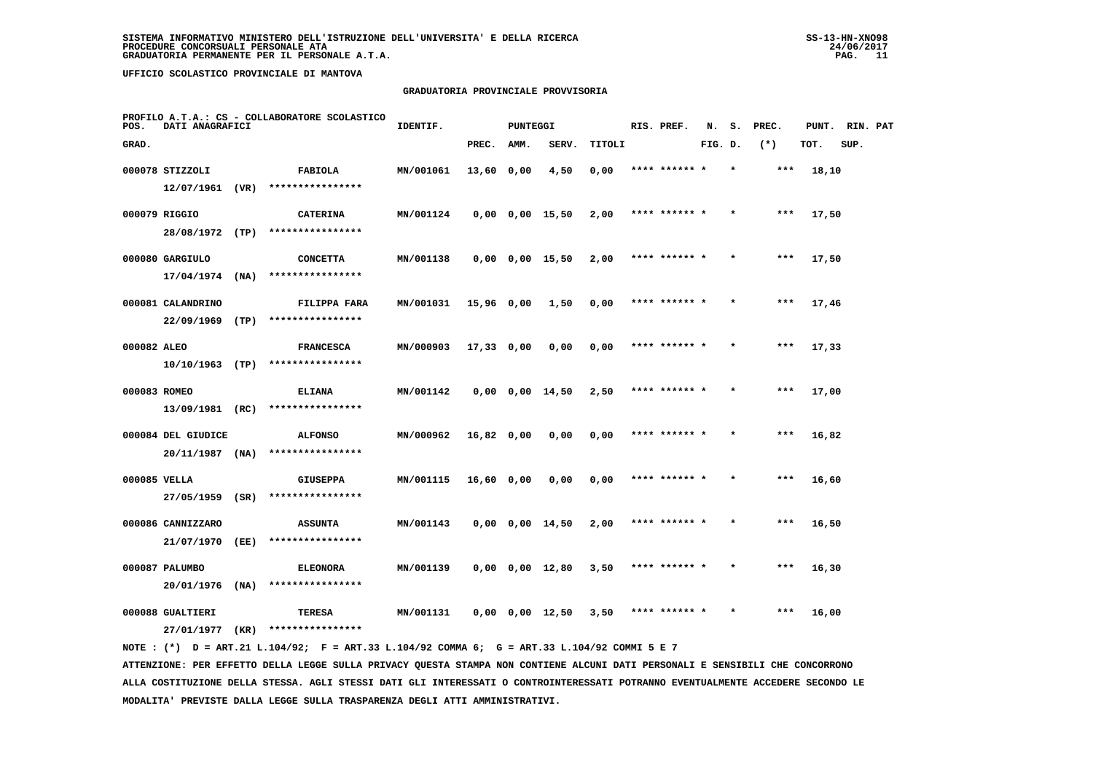## **GRADUATORIA PROVINCIALE PROVVISORIA**

| POS.         | DATI ANAGRAFICI                         |      | PROFILO A.T.A.: CS - COLLABORATORE SCOLASTICO | IDENTIF.  |              | <b>PUNTEGGI</b> |                       |        | RIS. PREF.    | N.      | s.      | PREC. | PUNT. | RIN. PAT |  |
|--------------|-----------------------------------------|------|-----------------------------------------------|-----------|--------------|-----------------|-----------------------|--------|---------------|---------|---------|-------|-------|----------|--|
| GRAD.        |                                         |      |                                               |           | PREC.        | AMM.            | SERV.                 | TITOLI |               | FIG. D. |         | $(*)$ | TOT.  | SUP.     |  |
|              | 000078 STIZZOLI                         |      | <b>FABIOLA</b>                                | MN/001061 | 13,60 0,00   |                 | 4,50                  | 0,00   | **** ****** * |         | $\star$ | ***   | 18,10 |          |  |
|              | 12/07/1961 (VR)                         |      | ****************                              |           |              |                 |                       |        |               |         |         |       |       |          |  |
|              | 000079 RIGGIO                           |      | <b>CATERINA</b>                               | MN/001124 |              |                 | $0,00$ $0,00$ $15,50$ | 2,00   | **** ****** * |         |         | ***   | 17,50 |          |  |
|              | 28/08/1972 (TP)                         |      | ****************                              |           |              |                 |                       |        |               |         |         |       |       |          |  |
|              | 000080 GARGIULO                         |      | <b>CONCETTA</b>                               | MN/001138 |              |                 | $0,00$ $0,00$ $15,50$ | 2,00   | **** ****** * |         |         | $***$ | 17,50 |          |  |
|              | 17/04/1974                              | (NA) | ****************                              |           |              |                 |                       |        |               |         |         |       |       |          |  |
|              | 000081 CALANDRINO                       |      | FILIPPA FARA                                  | MN/001031 | $15,96$ 0,00 |                 | 1,50                  | 0,00   | **** ****** * |         |         | $***$ | 17,46 |          |  |
|              | 22/09/1969                              | (TP) | ****************                              |           |              |                 |                       |        |               |         |         |       |       |          |  |
| 000082 ALEO  |                                         |      | <b>FRANCESCA</b>                              | MN/000903 | $17,33$ 0,00 |                 | 0,00                  | 0,00   | **** ****** * |         |         | ***   | 17,33 |          |  |
|              | $10/10/1963$ (TP)                       |      | ****************                              |           |              |                 |                       |        |               |         |         |       |       |          |  |
| 000083 ROMEO |                                         |      | <b>ELIANA</b>                                 | MN/001142 |              |                 | $0,00$ $0,00$ $14,50$ | 2,50   | **** ****** * |         |         | $***$ | 17,00 |          |  |
|              | 13/09/1981 (RC)                         |      | ****************                              |           |              |                 |                       |        |               |         |         |       |       |          |  |
|              | 000084 DEL GIUDICE<br>$20/11/1987$ (NA) |      | <b>ALFONSO</b><br>****************            | MN/000962 | $16,82$ 0,00 |                 | 0,00                  | 0,00   | **** ******   |         |         | $***$ | 16,82 |          |  |
|              |                                         |      |                                               |           |              |                 |                       |        |               |         |         |       |       |          |  |
| 000085 VELLA | 27/05/1959 (SR)                         |      | <b>GIUSEPPA</b><br>****************           | MN/001115 | $16,60$ 0,00 |                 | 0,00                  | 0,00   | **** ****** * |         |         | $***$ | 16,60 |          |  |
|              |                                         |      |                                               |           |              |                 |                       |        |               |         |         |       |       |          |  |
|              | 000086 CANNIZZARO<br>21/07/1970         | (EE) | <b>ASSUNTA</b><br>****************            | MN/001143 |              |                 | $0,00$ $0,00$ $14,50$ | 2,00   | **** ****** * |         |         | $***$ | 16,50 |          |  |
|              |                                         |      |                                               |           |              |                 |                       |        |               |         |         |       |       |          |  |
|              | 000087 PALUMBO<br>20/01/1976            | (MA) | <b>ELEONORA</b><br>****************           | MN/001139 |              |                 | $0,00$ $0,00$ $12,80$ | 3,50   | **** ****** * |         |         | $***$ | 16,30 |          |  |
|              | 000088 GUALTIERI                        |      |                                               | MN/001131 |              |                 |                       | 3,50   | **** ****** * |         |         | $***$ |       |          |  |
|              |                                         |      | TERESA<br>****************                    |           |              |                 | $0,00$ $0,00$ $12,50$ |        |               |         |         |       | 16,00 |          |  |
|              | 27/01/1977                              | (KR) |                                               |           |              |                 |                       |        |               |         |         |       |       |          |  |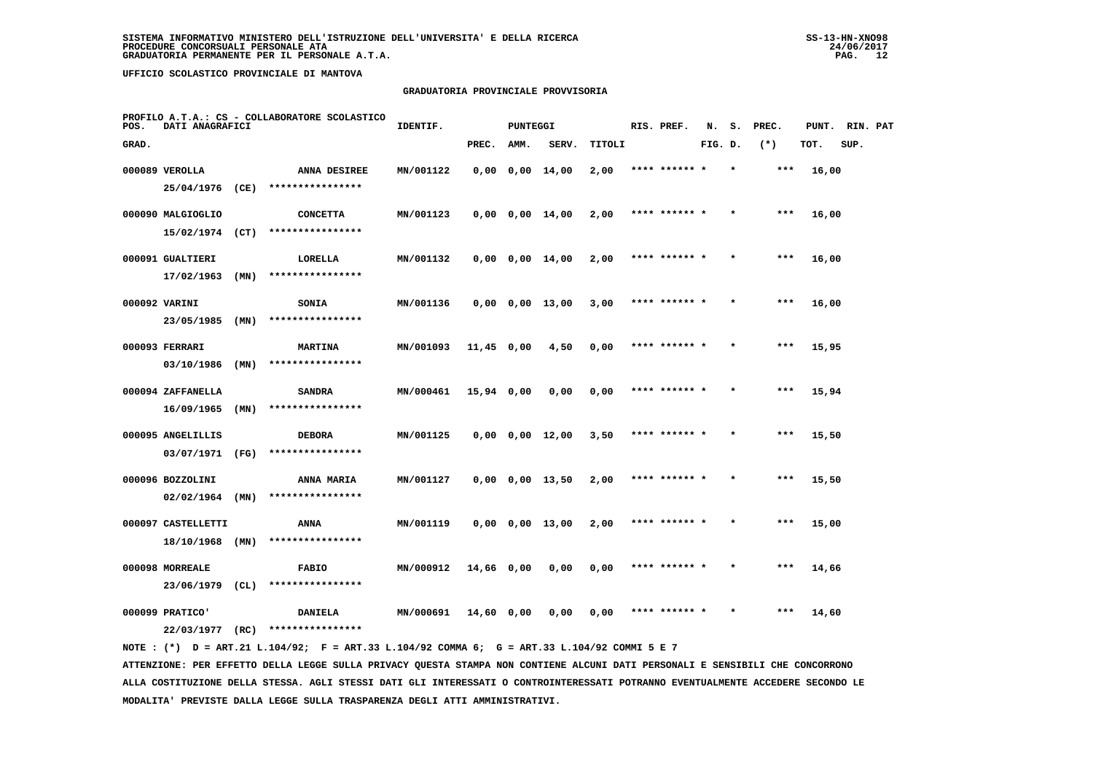## **GRADUATORIA PROVINCIALE PROVVISORIA**

| POS.  | DATI ANAGRAFICI    |      | PROFILO A.T.A.: CS - COLLABORATORE SCOLASTICO | IDENTIF.  |              | <b>PUNTEGGI</b> |                       |        | RIS. PREF.    | N.      | s.      | PREC. | PUNT. | RIN. PAT |  |
|-------|--------------------|------|-----------------------------------------------|-----------|--------------|-----------------|-----------------------|--------|---------------|---------|---------|-------|-------|----------|--|
| GRAD. |                    |      |                                               |           | PREC.        | AMM.            | SERV.                 | TITOLI |               | FIG. D. |         | $(*)$ | TOT.  | SUP.     |  |
|       | 000089 VEROLLA     |      | ANNA DESIREE                                  | MN/001122 |              |                 | $0,00$ $0,00$ $14,00$ | 2,00   | **** ****** * |         | $\star$ | ***   | 16,00 |          |  |
|       | 25/04/1976 (CE)    |      | ****************                              |           |              |                 |                       |        |               |         |         |       |       |          |  |
|       | 000090 MALGIOGLIO  |      | <b>CONCETTA</b>                               | MN/001123 |              |                 | $0,00$ $0,00$ $14,00$ | 2,00   | **** ****** * |         |         | $***$ | 16,00 |          |  |
|       | 15/02/1974         | (CT) | ****************                              |           |              |                 |                       |        |               |         |         |       |       |          |  |
|       | 000091 GUALTIERI   |      | LORELLA                                       | MN/001132 |              |                 | $0,00$ $0,00$ $14,00$ | 2,00   | **** ****** * |         |         | $***$ | 16,00 |          |  |
|       | 17/02/1963         | (MN) | ****************                              |           |              |                 |                       |        |               |         |         |       |       |          |  |
|       | 000092 VARINI      |      | <b>SONIA</b>                                  | MN/001136 |              |                 | $0,00$ $0,00$ $13,00$ | 3,00   | **** ****** * |         |         | ***   | 16,00 |          |  |
|       | 23/05/1985         | (MN) | ****************                              |           |              |                 |                       |        |               |         |         |       |       |          |  |
|       | 000093 FERRARI     |      | <b>MARTINA</b>                                | MN/001093 | $11,45$ 0,00 |                 | 4,50                  | 0,00   | **** ****** * |         |         | $***$ | 15,95 |          |  |
|       | 03/10/1986         | (MN) | ****************                              |           |              |                 |                       |        |               |         |         |       |       |          |  |
|       | 000094 ZAFFANELLA  |      | <b>SANDRA</b>                                 | MN/000461 | 15,94 0,00   |                 | 0,00                  | 0,00   | **** ****** * |         |         | ***   | 15,94 |          |  |
|       | 16/09/1965         | (MN) | ****************                              |           |              |                 |                       |        |               |         |         |       |       |          |  |
|       | 000095 ANGELILLIS  |      | <b>DEBORA</b>                                 | MN/001125 |              |                 | $0,00$ $0,00$ $12,00$ | 3,50   | **** ****** * |         |         | $***$ | 15,50 |          |  |
|       | 03/07/1971         | (FG) | ****************                              |           |              |                 |                       |        |               |         |         |       |       |          |  |
|       | 000096 BOZZOLINI   |      | ANNA MARIA                                    | MN/001127 |              |                 | $0,00$ $0,00$ $13,50$ | 2,00   |               |         |         | $***$ | 15,50 |          |  |
|       | 02/02/1964         | (MN) | ****************                              |           |              |                 |                       |        |               |         |         |       |       |          |  |
|       | 000097 CASTELLETTI |      | ANNA                                          | MN/001119 |              |                 | $0,00$ $0,00$ $13,00$ | 2,00   | **** ****** * |         |         | $***$ | 15,00 |          |  |
|       | 18/10/1968         | (MN) | ****************                              |           |              |                 |                       |        |               |         |         |       |       |          |  |
|       | 000098 MORREALE    |      | <b>FABIO</b>                                  | MN/000912 | 14,66 0,00   |                 | 0,00                  | 0,00   | **** ****** * |         | $\star$ | ***   | 14,66 |          |  |
|       | 23/06/1979         | (CL) | ****************                              |           |              |                 |                       |        |               |         |         |       |       |          |  |
|       | 000099 PRATICO'    |      | <b>DANIELA</b>                                | MN/000691 | 14,60 0,00   |                 | 0,00                  | 0,00   | **** ****** * |         |         | ***   | 14,60 |          |  |
|       | 22/03/1977         | (RC) | ****************                              |           |              |                 |                       |        |               |         |         |       |       |          |  |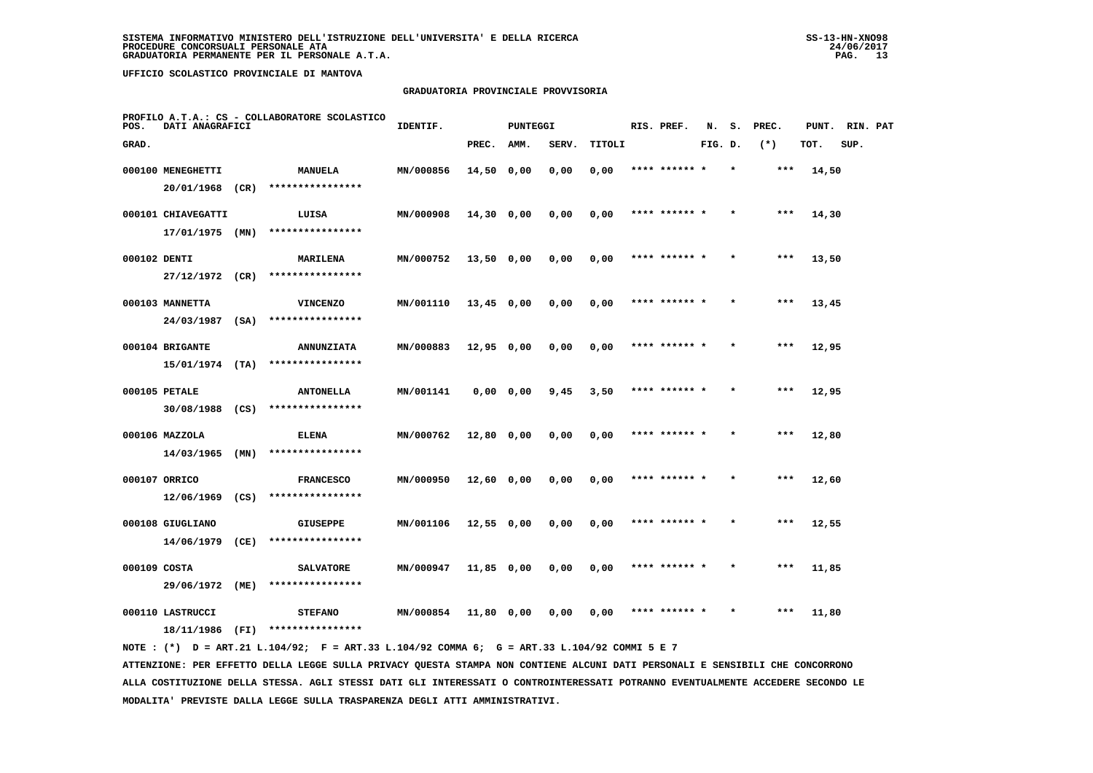## **GRADUATORIA PROVINCIALE PROVVISORIA**

| PROFILO A.T.A.: CS - COLLABORATORE SCOLASTICO<br>POS.<br>DATI ANAGRAFICI |                    |      |                   | IDENTIF.<br><b>PUNTEGGI</b> |              |           | RIS. PREF. | N.     | s.            | PREC.   | PUNT.   | RIN. PAT |       |      |  |
|--------------------------------------------------------------------------|--------------------|------|-------------------|-----------------------------|--------------|-----------|------------|--------|---------------|---------|---------|----------|-------|------|--|
| GRAD.                                                                    |                    |      |                   |                             | PREC.        | AMM.      | SERV.      | TITOLI |               | FIG. D. |         | $(*)$    | TOT.  | SUP. |  |
|                                                                          | 000100 MENEGHETTI  |      | MANUELA           | MN/000856                   | 14,50 0,00   |           | 0,00       | 0,00   | **** ****** * |         | $\star$ | $***$    | 14,50 |      |  |
|                                                                          | 20/01/1968         | (CR) | ****************  |                             |              |           |            |        |               |         |         |          |       |      |  |
|                                                                          | 000101 CHIAVEGATTI |      | LUISA             | MN/000908                   | $14,30$ 0,00 |           | 0,00       | 0,00   | **** ****** * |         |         | ***      | 14,30 |      |  |
|                                                                          | $17/01/1975$ (MN)  |      | ****************  |                             |              |           |            |        |               |         |         |          |       |      |  |
| 000102 DENTI                                                             |                    |      | MARILENA          | MN/000752                   | $13,50$ 0,00 |           | 0,00       | 0,00   | **** ****** * |         |         | $***$    | 13,50 |      |  |
|                                                                          | 27/12/1972 (CR)    |      | ****************  |                             |              |           |            |        |               |         |         |          |       |      |  |
|                                                                          | 000103 MANNETTA    |      | <b>VINCENZO</b>   | MN/001110                   | $13,45$ 0,00 |           | 0,00       | 0,00   | **** ****** * |         |         | $***$    | 13,45 |      |  |
|                                                                          | 24/03/1987         | (SA) | ****************  |                             |              |           |            |        |               |         |         |          |       |      |  |
|                                                                          | 000104 BRIGANTE    |      | <b>ANNUNZIATA</b> | MN/000883                   | $12,95$ 0,00 |           | 0,00       | 0,00   | **** ****** * |         |         | $***$    | 12,95 |      |  |
|                                                                          | $15/01/1974$ (TA)  |      | ****************  |                             |              |           |            |        |               |         |         |          |       |      |  |
|                                                                          | 000105 PETALE      |      | <b>ANTONELLA</b>  | MN/001141                   |              | 0,0000,00 | 9,45       | 3,50   | **** ****** * |         |         | ***      | 12,95 |      |  |
|                                                                          | 30/08/1988 (CS)    |      | ****************  |                             |              |           |            |        |               |         |         |          |       |      |  |
|                                                                          | 000106 MAZZOLA     |      | ELENA             | MN/000762                   | 12,80 0,00   |           | 0,00       | 0,00   | **** ******   |         |         | ***      | 12,80 |      |  |
|                                                                          | $14/03/1965$ (MN)  |      | ****************  |                             |              |           |            |        |               |         |         |          |       |      |  |
|                                                                          | 000107 ORRICO      |      | <b>FRANCESCO</b>  | MN/000950                   | 12,60 0,00   |           | 0,00       | 0,00   | **** ****** * |         |         | $***$    | 12,60 |      |  |
|                                                                          | 12/06/1969         | (CS) | ****************  |                             |              |           |            |        |               |         |         |          |       |      |  |
|                                                                          | 000108 GIUGLIANO   |      | GIUSEPPE          | MN/001106                   | $12,55$ 0,00 |           | 0,00       | 0,00   | **** ****** * |         | $\star$ | $***$    | 12,55 |      |  |
|                                                                          | 14/06/1979         | (CE) | ****************  |                             |              |           |            |        |               |         |         |          |       |      |  |
| 000109 COSTA                                                             |                    |      | <b>SALVATORE</b>  | MN/000947                   | 11,85 0,00   |           | 0,00       | 0,00   | **** ****** * |         |         | ***      | 11,85 |      |  |
|                                                                          | 29/06/1972         | (ME) | ****************  |                             |              |           |            |        |               |         |         |          |       |      |  |
|                                                                          | 000110 LASTRUCCI   |      | <b>STEFANO</b>    | <b>MN/000854</b>            | 11,80 0,00   |           | 0.00       | 0.00   | **** ****** * |         |         | $***$    | 11,80 |      |  |
|                                                                          | 18/11/1986         | (FI) | ****************  |                             |              |           |            |        |               |         |         |          |       |      |  |